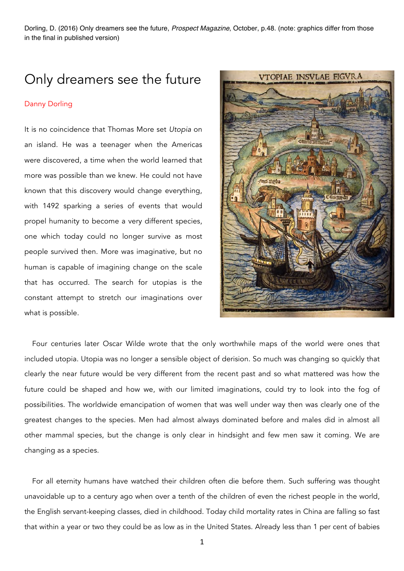Dorling, D. (2016) Only dreamers see the future, *Prospect Magazine*, October, p.48. (note: graphics differ from those in the final in published version)

## Only dreamers see the future

## Danny Dorling

It is no coincidence that Thomas More set *Utopia* on an island. He was a teenager when the Americas were discovered, a time when the world learned that more was possible than we knew. He could not have known that this discovery would change everything, with 1492 sparking a series of events that would propel humanity to become a very different species, one which today could no longer survive as most people survived then. More was imaginative, but no human is capable of imagining change on the scale that has occurred. The search for utopias is the constant attempt to stretch our imaginations over what is possible.



Four centuries later Oscar Wilde wrote that the only worthwhile maps of the world were ones that included utopia. Utopia was no longer a sensible object of derision. So much was changing so quickly that clearly the near future would be very different from the recent past and so what mattered was how the future could be shaped and how we, with our limited imaginations, could try to look into the fog of possibilities. The worldwide emancipation of women that was well under way then was clearly one of the greatest changes to the species. Men had almost always dominated before and males did in almost all other mammal species, but the change is only clear in hindsight and few men saw it coming. We are changing as a species.

For all eternity humans have watched their children often die before them. Such suffering was thought unavoidable up to a century ago when over a tenth of the children of even the richest people in the world, the English servant-keeping classes, died in childhood. Today child mortality rates in China are falling so fast that within a year or two they could be as low as in the United States. Already less than 1 per cent of babies